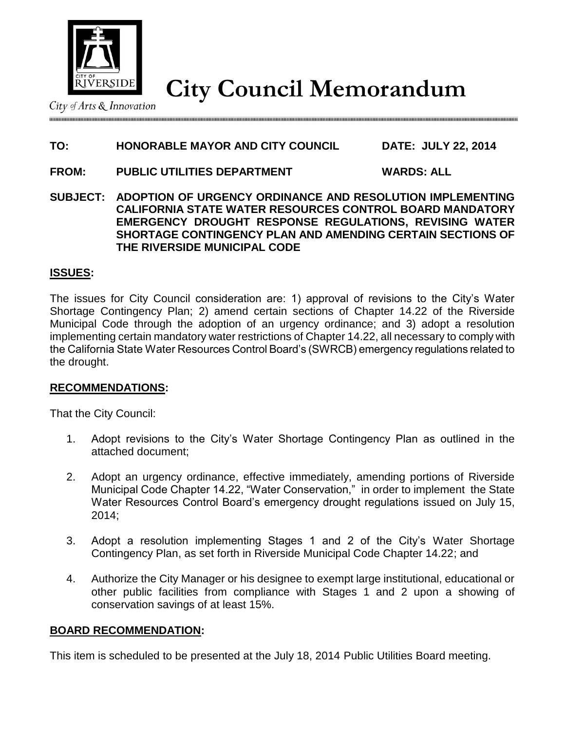

**City Council Memorandum**

City of Arts & Innovation

## **TO: HONORABLE MAYOR AND CITY COUNCIL DATE: JULY 22, 2014**

- **FROM: PUBLIC UTILITIES DEPARTMENT WARDS: ALL**
- **SUBJECT: ADOPTION OF URGENCY ORDINANCE AND RESOLUTION IMPLEMENTING CALIFORNIA STATE WATER RESOURCES CONTROL BOARD MANDATORY EMERGENCY DROUGHT RESPONSE REGULATIONS, REVISING WATER SHORTAGE CONTINGENCY PLAN AND AMENDING CERTAIN SECTIONS OF THE RIVERSIDE MUNICIPAL CODE**

### **ISSUES:**

The issues for City Council consideration are: 1) approval of revisions to the City's Water Shortage Contingency Plan; 2) amend certain sections of Chapter 14.22 of the Riverside Municipal Code through the adoption of an urgency ordinance; and 3) adopt a resolution implementing certain mandatory water restrictions of Chapter 14.22, all necessary to comply with the California State Water Resources Control Board's (SWRCB) emergency regulations related to the drought.

### **RECOMMENDATIONS:**

That the City Council:

- 1. Adopt revisions to the City's Water Shortage Contingency Plan as outlined in the attached document;
- 2. Adopt an urgency ordinance, effective immediately, amending portions of Riverside Municipal Code Chapter 14.22, "Water Conservation," in order to implement the State Water Resources Control Board's emergency drought regulations issued on July 15, 2014;
- 3. Adopt a resolution implementing Stages 1 and 2 of the City's Water Shortage Contingency Plan, as set forth in Riverside Municipal Code Chapter 14.22; and
- 4. Authorize the City Manager or his designee to exempt large institutional, educational or other public facilities from compliance with Stages 1 and 2 upon a showing of conservation savings of at least 15%.

#### **BOARD RECOMMENDATION:**

This item is scheduled to be presented at the July 18, 2014 Public Utilities Board meeting.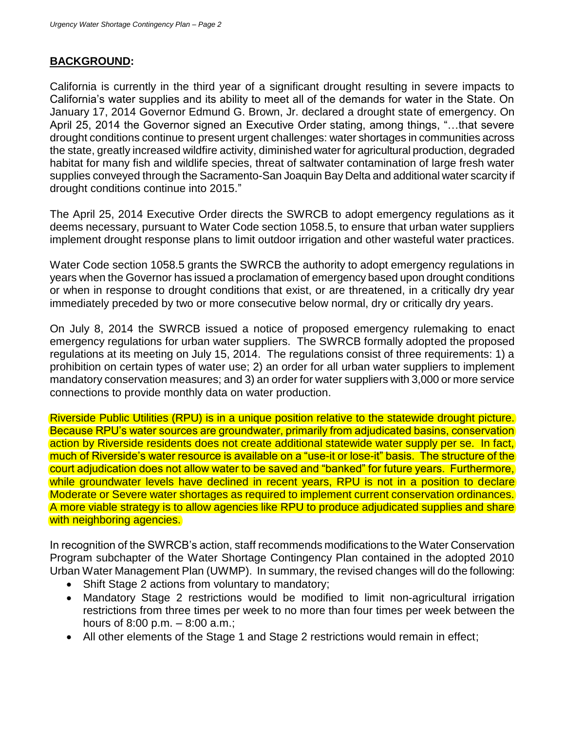# **BACKGROUND:**

California is currently in the third year of a significant drought resulting in severe impacts to California's water supplies and its ability to meet all of the demands for water in the State. On January 17, 2014 Governor Edmund G. Brown, Jr. declared a drought state of emergency. On April 25, 2014 the Governor signed an Executive Order stating, among things, "…that severe drought conditions continue to present urgent challenges: water shortages in communities across the state, greatly increased wildfire activity, diminished water for agricultural production, degraded habitat for many fish and wildlife species, threat of saltwater contamination of large fresh water supplies conveyed through the Sacramento-San Joaquin Bay Delta and additional water scarcity if drought conditions continue into 2015."

The April 25, 2014 Executive Order directs the SWRCB to adopt emergency regulations as it deems necessary, pursuant to Water Code section 1058.5, to ensure that urban water suppliers implement drought response plans to limit outdoor irrigation and other wasteful water practices.

Water Code section 1058.5 grants the SWRCB the authority to adopt emergency regulations in years when the Governor has issued a proclamation of emergency based upon drought conditions or when in response to drought conditions that exist, or are threatened, in a critically dry year immediately preceded by two or more consecutive below normal, dry or critically dry years.

On July 8, 2014 the SWRCB issued a notice of proposed emergency rulemaking to enact emergency regulations for urban water suppliers. The SWRCB formally adopted the proposed regulations at its meeting on July 15, 2014. The regulations consist of three requirements: 1) a prohibition on certain types of water use; 2) an order for all urban water suppliers to implement mandatory conservation measures; and 3) an order for water suppliers with 3,000 or more service connections to provide monthly data on water production.

Riverside Public Utilities (RPU) is in a unique position relative to the statewide drought picture. Because RPU's water sources are groundwater, primarily from adjudicated basins, conservation action by Riverside residents does not create additional statewide water supply per se. In fact, much of Riverside's water resource is available on a "use-it or lose-it" basis. The structure of the court adjudication does not allow water to be saved and "banked" for future years. Furthermore, while groundwater levels have declined in recent years, RPU is not in a position to declare Moderate or Severe water shortages as required to implement current conservation ordinances. A more viable strategy is to allow agencies like RPU to produce adjudicated supplies and share with neighboring agencies.

In recognition of the SWRCB's action, staff recommends modifications to the Water Conservation Program subchapter of the Water Shortage Contingency Plan contained in the adopted 2010 Urban Water Management Plan (UWMP). In summary, the revised changes will do the following:

- Shift Stage 2 actions from voluntary to mandatory;
- Mandatory Stage 2 restrictions would be modified to limit non-agricultural irrigation restrictions from three times per week to no more than four times per week between the hours of 8:00 p.m. – 8:00 a.m.;
- All other elements of the Stage 1 and Stage 2 restrictions would remain in effect;